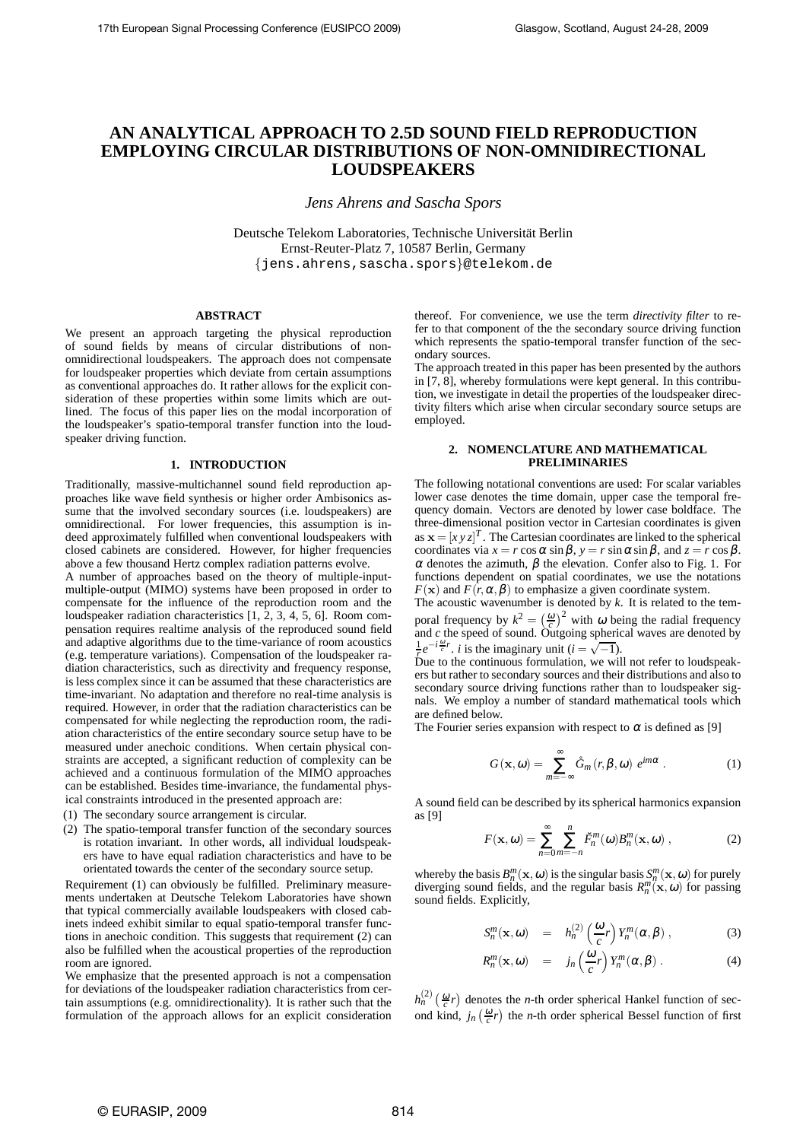# **AN ANALYTICAL APPROACH TO 2.5D SOUND FIELD REPRODUCTION EMPLOYING CIRCULAR DISTRIBUTIONS OF NON-OMNIDIRECTIONAL LOUDSPEAKERS**

*Jens Ahrens and Sascha Spors*

Deutsche Telekom Laboratories, Technische Universität Berlin Ernst-Reuter-Platz 7, 10587 Berlin, Germany {jens.ahrens,sascha.spors}@telekom.de

## **ABSTRACT**

We present an approach targeting the physical reproduction of sound fields by means of circular distributions of nonomnidirectional loudspeakers. The approach does not compensate for loudspeaker properties which deviate from certain assumptions as conventional approaches do. It rather allows for the explicit consideration of these properties within some limits which are outlined. The focus of this paper lies on the modal incorporation of the loudspeaker's spatio-temporal transfer function into the loudspeaker driving function.

#### **1. INTRODUCTION**

Traditionally, massive-multichannel sound field reproduction approaches like wave field synthesis or higher order Ambisonics assume that the involved secondary sources (i.e. loudspeakers) are omnidirectional. For lower frequencies, this assumption is indeed approximately fulfilled when conventional loudspeakers with closed cabinets are considered. However, for higher frequencies above a few thousand Hertz complex radiation patterns evolve.

A number of approaches based on the theory of multiple-inputmultiple-output (MIMO) systems have been proposed in order to compensate for the influence of the reproduction room and the loudspeaker radiation characteristics [1, 2, 3, 4, 5, 6]. Room compensation requires realtime analysis of the reproduced sound field and adaptive algorithms due to the time-variance of room acoustics (e.g. temperature variations). Compensation of the loudspeaker radiation characteristics, such as directivity and frequency response, is less complex since it can be assumed that these characteristics are time-invariant. No adaptation and therefore no real-time analysis is required. However, in order that the radiation characteristics can be compensated for while neglecting the reproduction room, the radiation characteristics of the entire secondary source setup have to be measured under anechoic conditions. When certain physical constraints are accepted, a significant reduction of complexity can be achieved and a continuous formulation of the MIMO approaches can be established. Besides time-invariance, the fundamental physical constraints introduced in the presented approach are:

- (1) The secondary source arrangement is circular.
- (2) The spatio-temporal transfer function of the secondary sources is rotation invariant. In other words, all individual loudspeakers have to have equal radiation characteristics and have to be orientated towards the center of the secondary source setup.

Requirement (1) can obviously be fulfilled. Preliminary measurements undertaken at Deutsche Telekom Laboratories have shown that typical commercially available loudspeakers with closed cabinets indeed exhibit similar to equal spatio-temporal transfer functions in anechoic condition. This suggests that requirement (2) can also be fulfilled when the acoustical properties of the reproduction room are ignored.

We emphasize that the presented approach is not a compensation for deviations of the loudspeaker radiation characteristics from certain assumptions (e.g. omnidirectionality). It is rather such that the formulation of the approach allows for an explicit consideration thereof. For convenience, we use the term *directivity filter* to refer to that component of the the secondary source driving function which represents the spatio-temporal transfer function of the secondary sources.

The approach treated in this paper has been presented by the authors in [7, 8], whereby formulations were kept general. In this contribution, we investigate in detail the properties of the loudspeaker directivity filters which arise when circular secondary source setups are employed.

#### **2. NOMENCLATURE AND MATHEMATICAL PRELIMINARIES**

The following notational conventions are used: For scalar variables lower case denotes the time domain, upper case the temporal frequency domain. Vectors are denoted by lower case boldface. The three-dimensional position vector in Cartesian coordinates is given as  $\mathbf{x} = [xy]^{T}$ . The Cartesian coordinates are linked to the spherical coordinates via  $x = r \cos \alpha \sin \beta$ ,  $y = r \sin \alpha \sin \beta$ , and  $z = r \cos \beta$ . <sup>α</sup> denotes the azimuth, β the elevation. Confer also to Fig. 1. For functions dependent on spatial coordinates, we use the notations  $F(\mathbf{x})$  and  $F(r, \alpha, \beta)$  to emphasize a given coordinate system.

The acoustic wavenumber is denoted by *k*. It is related to the temporal frequency by  $k^2 = \left(\frac{\omega}{c}\right)^2$  with  $\omega$  being the radial frequency and *c* the speed of sound. Outgoing spherical waves are denoted by  $\frac{1}{6}e^{-i\frac{\omega}{c}r}$ , *i* is the imaginary unit (*i* =  $\sqrt{-1}$ ).

Due to the continuous formulation, we will not refer to loudspeakers but rather to secondary sources and their distributions and also to secondary source driving functions rather than to loudspeaker signals. We employ a number of standard mathematical tools which are defined below.

The Fourier series expansion with respect to  $\alpha$  is defined as [9]

$$
G(\mathbf{x}, \omega) = \sum_{m=-\infty}^{\infty} \mathring{G}_m(r, \beta, \omega) e^{im\alpha} .
$$
 (1)

A sound field can be described by its spherical harmonics expansion as [9]

$$
F(\mathbf{x}, \omega) = \sum_{n=0}^{\infty} \sum_{m=-n}^{n} \breve{F}_{n}^{m}(\omega) B_{n}^{m}(\mathbf{x}, \omega) ,
$$
 (2)

whereby the basis  $B_n^m(\mathbf{x}, \omega)$  is the singular basis  $S_n^m(\mathbf{x}, \omega)$  for purely diverging sound fields, and the regular basis  $R_n^m(\mathbf{x}, \omega)$  for passing sound fields. Explicitly,

$$
S_n^m(\mathbf{x},\omega) = h_n^{(2)}\left(\frac{\omega}{c}r\right)Y_n^m(\alpha,\beta)\,,\tag{3}
$$

$$
R_n^m(\mathbf{x},\omega) = j_n\left(\frac{\omega}{c}r\right)Y_n^m(\alpha,\beta). \tag{4}
$$

 $h_n^{(2)}\left(\frac{\omega}{c}r\right)$  denotes the *n*-th order spherical Hankel function of second kind,  $j_n\left(\frac{\omega}{c}r\right)$  the *n*-th order spherical Bessel function of first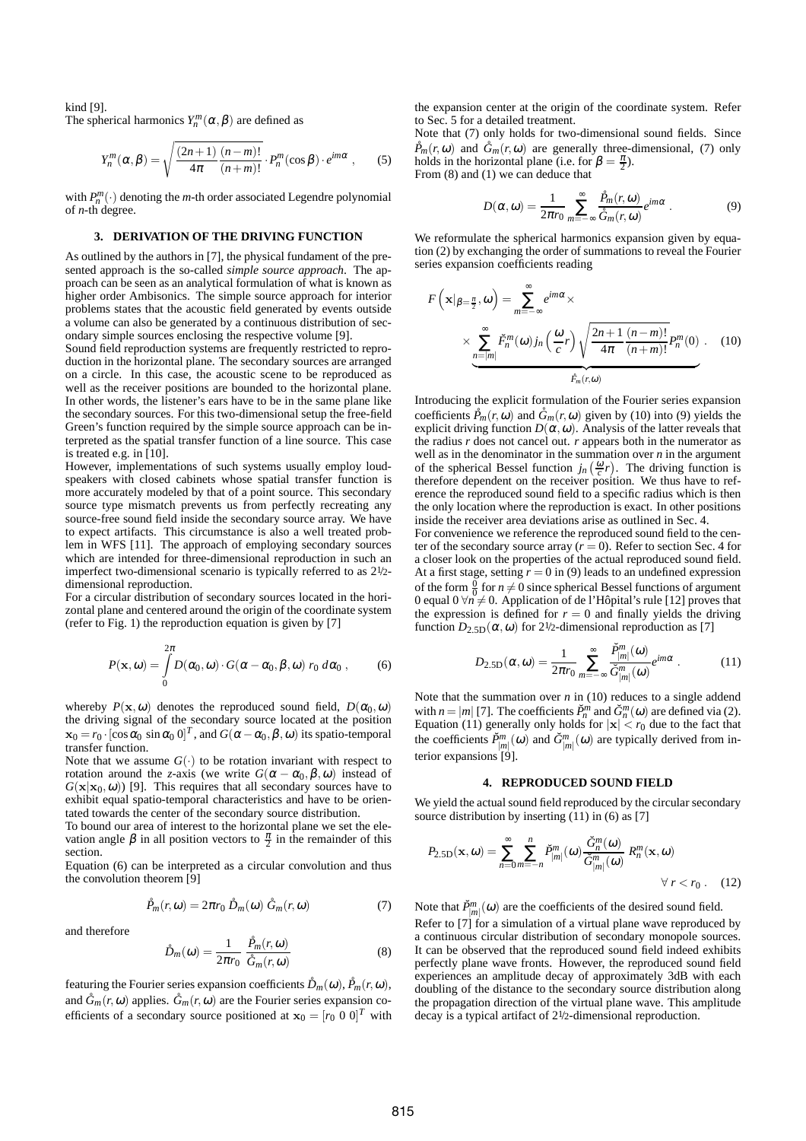kind [9].

The spherical harmonics  $Y_n^m(\alpha, \beta)$  are defined as

$$
Y_n^m(\alpha, \beta) = \sqrt{\frac{(2n+1)}{4\pi} \frac{(n-m)!}{(n+m)!}} \cdot P_n^m(\cos\beta) \cdot e^{im\alpha}, \qquad (5)
$$

with  $P_n^m(\cdot)$  denoting the *m*-th order associated Legendre polynomial of *n*-th degree.

#### **3. DERIVATION OF THE DRIVING FUNCTION**

As outlined by the authors in [7], the physical fundament of the presented approach is the so-called *simple source approach*. The approach can be seen as an analytical formulation of what is known as higher order Ambisonics. The simple source approach for interior problems states that the acoustic field generated by events outside a volume can also be generated by a continuous distribution of secondary simple sources enclosing the respective volume [9].

Sound field reproduction systems are frequently restricted to reproduction in the horizontal plane. The secondary sources are arranged on a circle. In this case, the acoustic scene to be reproduced as well as the receiver positions are bounded to the horizontal plane. In other words, the listener's ears have to be in the same plane like the secondary sources. For this two-dimensional setup the free-field Green's function required by the simple source approach can be interpreted as the spatial transfer function of a line source. This case is treated e.g. in [10].

However, implementations of such systems usually employ loudspeakers with closed cabinets whose spatial transfer function is more accurately modeled by that of a point source. This secondary source type mismatch prevents us from perfectly recreating any source-free sound field inside the secondary source array. We have to expect artifacts. This circumstance is also a well treated problem in WFS [11]. The approach of employing secondary sources which are intended for three-dimensional reproduction in such an imperfect two-dimensional scenario is typically referred to as 21/2 dimensional reproduction.

For a circular distribution of secondary sources located in the horizontal plane and centered around the origin of the coordinate system (refer to Fig. 1) the reproduction equation is given by [7]

$$
P(\mathbf{x},\omega) = \int_{0}^{2\pi} D(\alpha_0,\omega) \cdot G(\alpha-\alpha_0,\beta,\omega) \ r_0 \ d\alpha_0 \ , \qquad (6)
$$

whereby  $P(\mathbf{x}, \omega)$  denotes the reproduced sound field,  $D(\alpha_0, \omega)$ the driving signal of the secondary source located at the position  $\mathbf{x}_0 = r_0 \cdot [\cos \alpha_0 \sin \alpha_0 \, 0]^T$ , and  $G(\alpha - \alpha_0, \beta, \omega)$  its spatio-temporal transfer function.

Note that we assume  $G(\cdot)$  to be rotation invariant with respect to rotation around the *z*-axis (we write  $G(\alpha - \alpha_0, \beta, \omega)$  instead of  $G(\mathbf{x}|\mathbf{x}_0,\omega)$  [9]. This requires that all secondary sources have to exhibit equal spatio-temporal characteristics and have to be orientated towards the center of the secondary source distribution.

To bound our area of interest to the horizontal plane we set the elevation angle  $\beta$  in all position vectors to  $\frac{\pi}{2}$  in the remainder of this section.

Equation (6) can be interpreted as a circular convolution and thus the convolution theorem [9]

$$
\mathring{P}_m(r,\omega) = 2\pi r_0 \,\mathring{D}_m(\omega) \,\mathring{G}_m(r,\omega) \tag{7}
$$

and therefore

$$
\mathring{D}_m(\omega) = \frac{1}{2\pi r_0} \frac{\mathring{P}_m(r,\omega)}{\mathring{G}_m(r,\omega)}\tag{8}
$$

featuring the Fourier series expansion coefficients  $\mathring{D}_m(\omega)$ ,  $\mathring{P}_m(r,\omega)$ , and  $\hat{G}_m(r,\omega)$  applies.  $\hat{G}_m(r,\omega)$  are the Fourier series expansion coefficients of a secondary source positioned at  $\mathbf{x}_0 = [r_0 \ 0 \ 0]^T$  with the expansion center at the origin of the coordinate system. Refer to Sec. 5 for a detailed treatment.

Note that (7) only holds for two-dimensional sound fields. Since  $\hat{P}_m(r,\omega)$  and  $\hat{G}_m(r,\omega)$  are generally three-dimensional, (7) only holds in the horizontal plane (i.e. for  $\beta = \frac{\pi}{2}$ ). From (8) and (1) we can deduce that

$$
D(\alpha, \omega) = \frac{1}{2\pi r_0} \sum_{m=-\infty}^{\infty} \frac{\hat{P}_m(r, \omega)}{\hat{G}_m(r, \omega)} e^{im\alpha} .
$$
 (9)

We reformulate the spherical harmonics expansion given by equation (2) by exchanging the order of summations to reveal the Fourier series expansion coefficients reading

$$
F\left(\mathbf{x}|_{\beta=\frac{\pi}{2}},\omega\right) = \sum_{m=-\infty}^{\infty} e^{im\alpha} \times \frac{\sum_{n=|m|}^{\infty} \tilde{F}_n^m(\omega) j_n\left(\frac{\omega}{c}r\right) \sqrt{\frac{2n+1}{4\pi} \frac{(n-m)!}{(n+m)!}} P_n^m(0) \quad (10)
$$

Introducing the explicit formulation of the Fourier series expansion coefficients  $\tilde{P}_m(r, \omega)$  and  $\tilde{G}_m(r, \omega)$  given by (10) into (9) yields the explicit driving function  $D(\alpha, \omega)$ . Analysis of the latter reveals that the radius *r* does not cancel out. *r* appears both in the numerator as well as in the denominator in the summation over *n* in the argument of the spherical Bessel function  $j_n\left(\frac{\omega}{c}r\right)$ . The driving function is therefore dependent on the receiver position. We thus have to reference the reproduced sound field to a specific radius which is then the only location where the reproduction is exact. In other positions inside the receiver area deviations arise as outlined in Sec. 4.

For convenience we reference the reproduced sound field to the center of the secondary source array  $(r = 0)$ . Refer to section Sec. 4 for a closer look on the properties of the actual reproduced sound field. At a first stage, setting  $r = 0$  in (9) leads to an undefined expression of the form  $\frac{0}{0}$  for  $n \neq 0$  since spherical Bessel functions of argument 0 equal 0  $\forall n \neq 0$ . Application of de l'Hôpital's rule [12] proves that the expression is defined for  $r = 0$  and finally yields the driving function  $D_{2.5D}(\alpha,\omega)$  for 2<sup>1</sup>/2-dimensional reproduction as [7]

$$
D_{2.5\text{D}}(\alpha,\omega) = \frac{1}{2\pi r_0} \sum_{m=-\infty}^{\infty} \frac{\check{P}_{|m|}^m(\omega)}{\check{G}_{|m|}^m(\omega)} e^{im\alpha} \ . \tag{11}
$$

Note that the summation over *n* in (10) reduces to a single addend with  $n = |m|$  [7]. The coefficients  $\tilde{P}_n^m$  and  $\tilde{G}_n^m(\omega)$  are defined via (2). Equation (11) generally only holds for  $|x| < r_0$  due to the fact that the coefficients  $\check{P}^m_{|m|}(\omega)$  and  $\check{G}^m_{|m|}(\omega)$  are typically derived from interior expansions [9].

# **4. REPRODUCED SOUND FIELD**

We vield the actual sound field reproduced by the circular secondary source distribution by inserting (11) in (6) as [7]

$$
P_{2.5\text{D}}(\mathbf{x},\omega) = \sum_{n=0}^{\infty} \sum_{m=-n}^{n} \tilde{P}_{|m|}^{m}(\omega) \frac{\tilde{G}_{n}^{m}(\omega)}{\tilde{G}_{|m|}^{m}(\omega)} R_{n}^{m}(\mathbf{x},\omega)
$$
  

$$
\forall r < r_{0}. \quad (12)
$$

Note that  $\tilde{P}^m_{[m]}(\omega)$  are the coefficients of the desired sound field. Refer to [7] for a simulation of a virtual plane wave reproduced by a continuous circular distribution of secondary monopole sources. It can be observed that the reproduced sound field indeed exhibits perfectly plane wave fronts. However, the reproduced sound field experiences an amplitude decay of approximately 3dB with each doubling of the distance to the secondary source distribution along the propagation direction of the virtual plane wave. This amplitude decay is a typical artifact of 21/2-dimensional reproduction.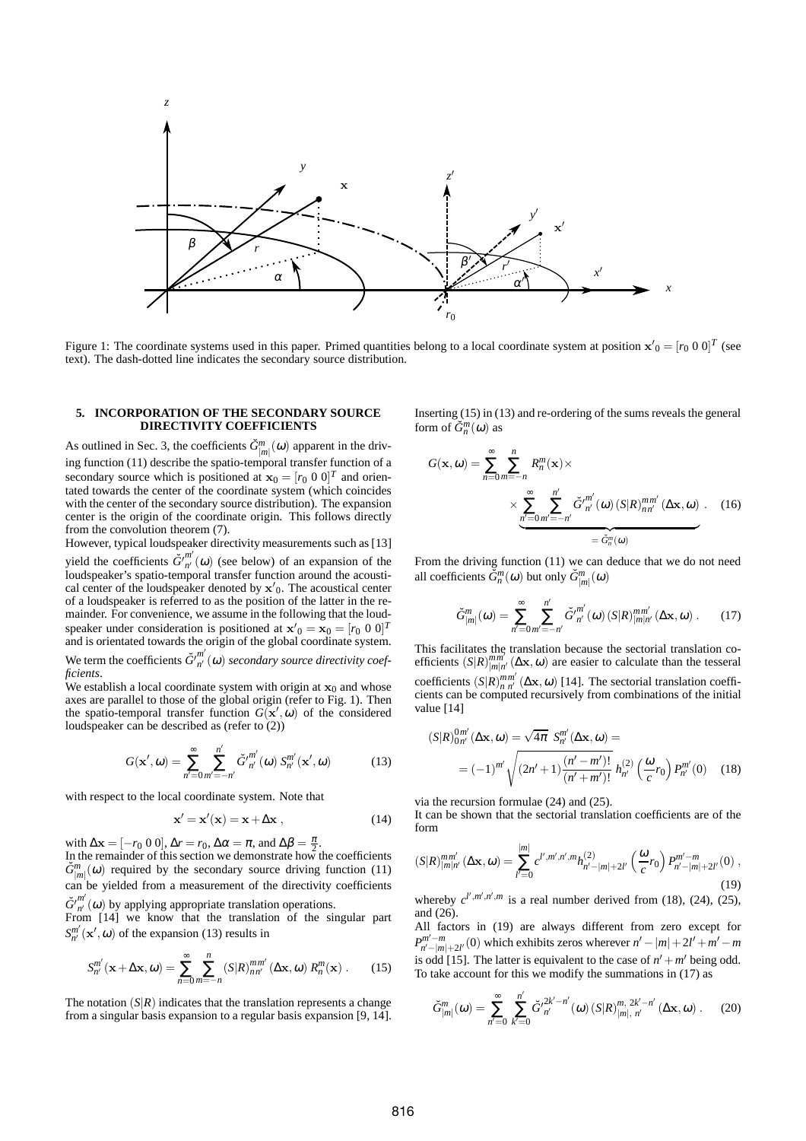

Figure 1: The coordinate systems used in this paper. Primed quantities belong to a local coordinate system at position  $x'_0 = [r_0 \ 0 \ 0]^T$  (see text). The dash-dotted line indicates the secondary source distribution.

#### **5. INCORPORATION OF THE SECONDARY SOURCE DIRECTIVITY COEFFICIENTS**

As outlined in Sec. 3, the coefficients  $\tilde{G}^m_{|m|}(\omega)$  apparent in the driving function (11) describe the spatio-temporal transfer function of a secondary source which is positioned at  $\mathbf{x}_0 = [r_0 \ 0 \ 0]^T$  and orientated towards the center of the coordinate system (which coincides with the center of the secondary source distribution). The expansion center is the origin of the coordinate origin. This follows directly from the convolution theorem (7).

However, typical loudspeaker directivity measurements such as [13]

yield the coefficients  $\check{G}^{\prime\prime\prime}^{m'}(\omega)$  (see below) of an expansion of the loudspeaker's spatio-temporal transfer function around the acoustical center of the loudspeaker denoted by  $x'_0$ . The acoustical center of a loudspeaker is referred to as the position of the latter in the remainder. For convenience, we assume in the following that the loudspeaker under consideration is positioned at  $\mathbf{x}'_0 = \mathbf{x}_0 = [r_0 \ 0 \ 0]^T$ and is orientated towards the origin of the global coordinate system.

We term the coefficients  $\check{G'}_{n'}^{m'}(\omega)$  *secondary source directivity coefficients*.

We establish a local coordinate system with origin at  $x_0$  and whose axes are parallel to those of the global origin (refer to Fig. 1). Then the spatio-temporal transfer function  $G(\mathbf{x}',\omega)$  of the considered loudspeaker can be described as (refer to (2))

$$
G(\mathbf{x}', \omega) = \sum_{n'=0}^{\infty} \sum_{m'= -n'}^{n'} \check{G'}_{n'}^{m'}(\omega) S_{n'}^{m'}(\mathbf{x}', \omega)
$$
(13)

with respect to the local coordinate system. Note that

$$
\mathbf{x}' = \mathbf{x}'(\mathbf{x}) = \mathbf{x} + \Delta \mathbf{x} \tag{14}
$$

with  $\Delta \mathbf{x} = [-r_0 \ 0 \ 0], \Delta r = r_0, \Delta \alpha = \pi, \text{ and } \Delta \beta = \frac{\pi}{2}.$ 

In the remainder of this section we demonstrate how the coefficients  $\tilde{G}^m_{|m|}(\omega)$  required by the secondary source driving function (11) can be yielded from a measurement of the directivity coefficients  $\check{G'}_{n'}^{m'}(\omega)$  by applying appropriate translation operations.

From [14] we know that the translation of the singular part  $S_{n'}^{m'}(\mathbf{x}', \omega)$  of the expansion (13) results in

$$
S_{n'}^{m'}(\mathbf{x}+\Delta\mathbf{x},\omega)=\sum_{n=0}^{\infty}\sum_{m=-n}^{n}(S|R)_{nn'}^{mm'}(\Delta\mathbf{x},\omega)R_{n}^{m}(\mathbf{x}).
$$
 (15)

The notation  $(S|R)$  indicates that the translation represents a change from a singular basis expansion to a regular basis expansion [9, 14]. Inserting (15) in (13) and re-ordering of the sums reveals the general form of  $\check{G}_n^m(\omega)$  as

$$
G(\mathbf{x}, \omega) = \sum_{n=0}^{\infty} \sum_{m=-n}^{n} R_n^m(\mathbf{x}) \times \times \sum_{\substack{n'=0 \, m'=-n'}}^{n'} \check{G'}_{n'}^{m'}(\omega) \left( S|R \right)_{nn'}^{mm'}(\Delta \mathbf{x}, \omega) . \quad (16)
$$

From the driving function (11) we can deduce that we do not need all coefficients  $\tilde{G}_n^m(\omega)$  but only  $\tilde{G}_{|m|}^m(\omega)$ 

$$
\check{G}_{|m|}^m(\omega) = \sum_{n'=0}^{\infty} \sum_{m'= -n'}^{n'} \check{G'}_{n'}^{m'}(\omega) \left( S|R \right)_{|m|n'}^{mm'}(\Delta \mathbf{x}, \omega) . \tag{17}
$$

This facilitates the translation because the sectorial translation coefficients  $(S|R)_{|m|n'}^{mm'}(\Delta \mathbf{x}, \omega)$  are easier to calculate than the tesseral coefficients  $(S|R)_{n \, n'}^{mm'}(\Delta \mathbf{x}, \omega)$  [14]. The sectorial translation coefficients can be computed recursively from combinations of the initial value [14]

$$
(S|R)_{0n'}^{0m'}(\Delta \mathbf{x}, \omega) = \sqrt{4\pi} S_{n'}^{m'}(\Delta \mathbf{x}, \omega) =
$$
  
=  $(-1)^{m'} \sqrt{(2n' + 1) \frac{(n' - m')!}{(n' + m')!}} h_{n'}^{(2)} \left(\frac{\omega}{c} r_0\right) P_{n'}^{m'}(0)$  (18)

via the recursion formulae (24) and (25).

It can be shown that the sectorial translation coefficients are of the form

$$
(S|R)^{mm'}_{|m|n'}(\Delta \mathbf{x}, \omega) = \sum_{l'=0}^{|m|} c^{l',m',n',m} h^{(2)}_{n'-|m|+2l'}\left(\frac{\omega}{c}r_0\right) P^{m'-m}_{n'-|m|+2l'}(0) ,\tag{19}
$$

whereby  $c^{l',m',n',m}$  is a real number derived from (18), (24), (25), and (26).

All factors in (19) are always different from zero except for  $P_{n'-|m|+2l'}^{m'-m}(0)$  which exhibits zeros wherever  $n'-|m|+2l'+m'-m$ is odd [15]. The latter is equivalent to the case of  $n' + m'$  being odd. To take account for this we modify the summations in (17) as

$$
\check{G}_{|m|}^{m}(\omega) = \sum_{n'=0}^{\infty} \sum_{k'=0}^{n'} \check{G'}_{n'}^{2k'-n'}(\omega) \left( S|R \right)_{|m|, n'}^{m, 2k'-n'}(\Delta \mathbf{x}, \omega) . \tag{20}
$$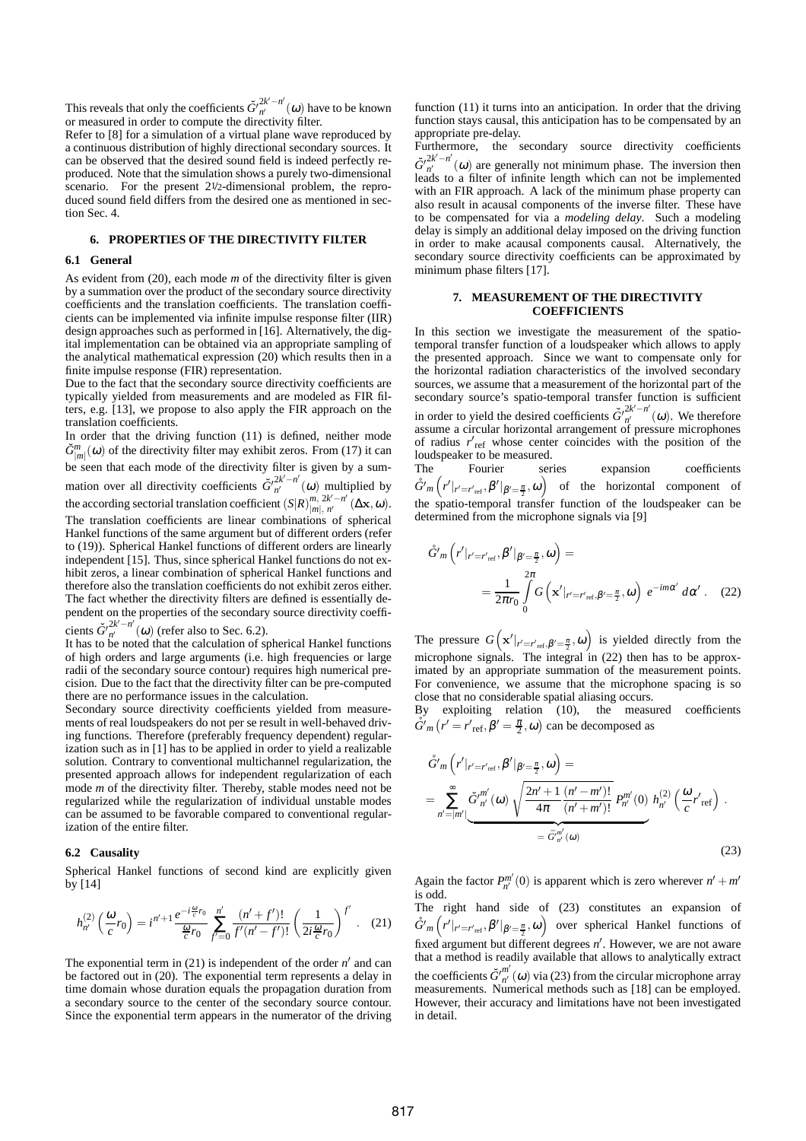This reveals that only the coefficients  $\check{G'}_{n'}^{2k'-n'}(\omega)$  have to be known or measured in order to compute the directivity filter.

Refer to [8] for a simulation of a virtual plane wave reproduced by a continuous distribution of highly directional secondary sources. It can be observed that the desired sound field is indeed perfectly reproduced. Note that the simulation shows a purely two-dimensional scenario. For the present 2<sup>1</sup>/2-dimensional problem, the reproduced sound field differs from the desired one as mentioned in section Sec. 4.

# **6. PROPERTIES OF THE DIRECTIVITY FILTER**

#### **6.1 General**

As evident from (20), each mode *m* of the directivity filter is given by a summation over the product of the secondary source directivity coefficients and the translation coefficients. The translation coefficients can be implemented via infinite impulse response filter (IIR) design approaches such as performed in [16]. Alternatively, the digital implementation can be obtained via an appropriate sampling of the analytical mathematical expression (20) which results then in a finite impulse response (FIR) representation.

Due to the fact that the secondary source directivity coefficients are typically yielded from measurements and are modeled as FIR filters, e.g. [13], we propose to also apply the FIR approach on the translation coefficients.

In order that the driving function (11) is defined, neither mode  $\check{G}^m_{|m|}(\omega)$  of the directivity filter may exhibit zeros. From (17) it can be seen that each mode of the directivity filter is given by a summation over all directivity coefficients  $\check{G'}_{n'}^{2k'-n'}(\omega)$  multiplied by the according sectorial translation coefficient  $(S|R)_{|m|, n'}^{m, 2k'-n'}(\Delta \mathbf{x}, \omega)$ . The translation coefficients are linear combinations of spherical Hankel functions of the same argument but of different orders (refer to (19)). Spherical Hankel functions of different orders are linearly independent [15]. Thus, since spherical Hankel functions do not exhibit zeros, a linear combination of spherical Hankel functions and therefore also the translation coefficients do not exhibit zeros either. The fact whether the directivity filters are defined is essentially dependent on the properties of the secondary source directivity coeffi-

cients  $\ddot{G}'^{2k'-n'}_{n'}(\omega)$  (refer also to Sec. 6.2).

It has to be noted that the calculation of spherical Hankel functions of high orders and large arguments (i.e. high frequencies or large radii of the secondary source contour) requires high numerical precision. Due to the fact that the directivity filter can be pre-computed there are no performance issues in the calculation.

Secondary source directivity coefficients yielded from measurements of real loudspeakers do not per se result in well-behaved driving functions. Therefore (preferably frequency dependent) regularization such as in [1] has to be applied in order to yield a realizable solution. Contrary to conventional multichannel regularization, the presented approach allows for independent regularization of each mode *m* of the directivity filter. Thereby, stable modes need not be regularized while the regularization of individual unstable modes can be assumed to be favorable compared to conventional regularization of the entire filter.

## **6.2 Causality**

Spherical Hankel functions of second kind are explicitly given by [14]

$$
h_{n'}^{(2)}\left(\frac{\omega}{c}r_0\right) = i^{n'+1}\frac{e^{-i\frac{\omega}{c}r_0}}{\frac{\omega}{c}r_0}\sum_{f'=0}^{n'}\frac{(n'+f')!}{f'(n'-f')!}\left(\frac{1}{2i\frac{\omega}{c}r_0}\right)^{f'}.
$$
 (21)

The exponential term in  $(21)$  is independent of the order  $n'$  and can be factored out in (20). The exponential term represents a delay in time domain whose duration equals the propagation duration from a secondary source to the center of the secondary source contour. Since the exponential term appears in the numerator of the driving

function (11) it turns into an anticipation. In order that the driving function stays causal, this anticipation has to be compensated by an appropriate pre-delay.

Furthermore, the secondary source directivity coefficients  $\check{G'}_{n'}^{2k'-n'}(\omega)$  are generally not minimum phase. The inversion then leads to a filter of infinite length which can not be implemented with an FIR approach. A lack of the minimum phase property can also result in acausal components of the inverse filter. These have to be compensated for via a *modeling delay*. Such a modeling delay is simply an additional delay imposed on the driving function in order to make acausal components causal. Alternatively, the secondary source directivity coefficients can be approximated by minimum phase filters [17].

## **7. MEASUREMENT OF THE DIRECTIVITY COEFFICIENTS**

In this section we investigate the measurement of the spatiotemporal transfer function of a loudspeaker which allows to apply the presented approach. Since we want to compensate only for the horizontal radiation characteristics of the involved secondary sources, we assume that a measurement of the horizontal part of the secondary source's spatio-temporal transfer function is sufficient in order to yield the desired coefficients  $\check{G'}_{n'}^{2k'-n'}(\omega)$ . We therefore assume a circular horizontal arrangement of pressure microphones of radius  $r'_{ref}$  whose center coincides with the position of the loudspeaker to be measured.<br>The Fourier ser

The Fourier series expansion coefficients  $\hat{G}'_m(r'|_{r'=r'_{\text{ref}}}, \beta'|_{\beta'=\frac{\pi}{2}}, \omega)$  of the horizontal component of the spatio-temporal transfer function of the loudspeaker can be determined from the microphone signals via [9]

$$
\hat{G}'m\left(r'|_{r'=r'_{\text{ref}}},\beta'|_{\beta'=\frac{\pi}{2}},\omega\right)=
$$
  

$$
=\frac{1}{2\pi r_0}\int\limits_{0}^{2\pi}G\left(\mathbf{x}'|_{r'=r'_{\text{ref}},\beta'=\frac{\pi}{2}},\omega\right)e^{-im\alpha'}d\alpha'.
$$
 (22)

The pressure  $G\left(\mathbf{x}'|_{r'=r'_{\text{ref}},\beta'=\frac{\pi}{2}},\omega\right)$  is yielded directly from the microphone signals. The integral in (22) then has to be approximated by an appropriate summation of the measurement points. For convenience, we assume that the microphone spacing is so close that no considerable spatial aliasing occurs.

By exploiting relation (10), the measured coefficients  $\mathring{G}'_m(r' = r'_{\text{ref}}, \beta' = \frac{\pi}{2}, \omega)$  can be decomposed as

$$
\hat{G}'m\left(r'|_{r'=r'_{ref}},\beta'|_{\beta'=\frac{\pi}{2}},\omega\right)=
$$
\n
$$
=\sum_{n'=|m'|}^{\infty}\tilde{G}^{\prime m'}_{n'}(\omega)\sqrt{\frac{2n'+1}{4\pi}\frac{(n'-m')!}{(n'+m')!}}P_{n'}^{m'}(0)h_{n'}^{(2)}\left(\frac{\omega}{c}r'_{ref}\right).
$$
\n
$$
=\tilde{G}^{m'}_{n'}(\omega)
$$
\n(23)

Again the factor  $P_{n'}^{m'}(0)$  is apparent which is zero wherever  $n' + m'$ is odd.

The right hand side of (23) constitutes an expansion of  $\mathring{G}'_m(r'|_{r'=r'_{\rm ref}},\beta'|_{\beta'=\frac{\pi}{2}},\omega)$  over spherical Hankel functions of fixed argument but different degrees *n'*. However, we are not aware that a method is readily available that allows to analytically extract the coefficients  $\check{G'}_{n'}^{m'}(\omega)$  via (23) from the circular microphone array measurements. Numerical methods such as [18] can be employed. However, their accuracy and limitations have not been investigated in detail.